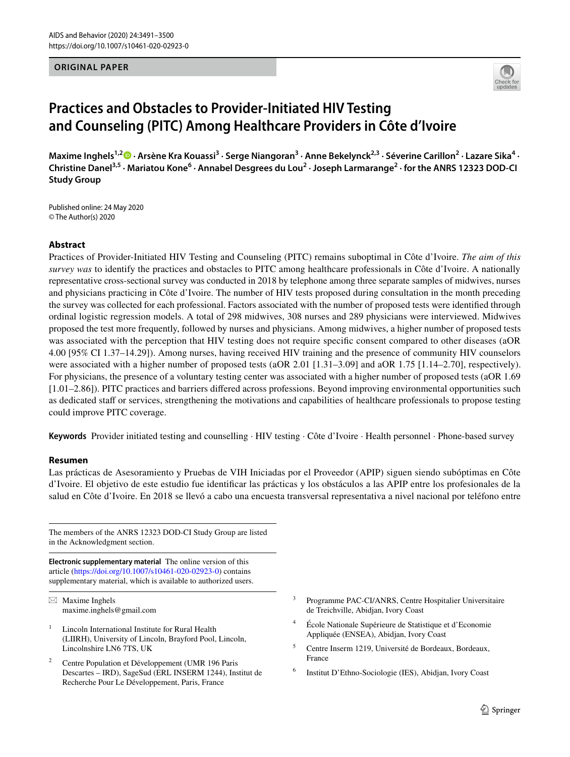### **ORIGINAL PAPER**



# **Practices and Obstacles to Provider‑Initiated HIV Testing and Counseling (PITC) Among Healthcare Providers in Côte d'Ivoire**

MaximeInghels<sup>1,2</sup>® · Arsène Kra Kouassi<sup>3</sup> · Serge Niangoran<sup>3</sup> · Anne Bekelynck<sup>2,3</sup> · Séverine Carillon<sup>2</sup> · Lazare Sika<sup>4</sup> · Christine Danel<sup>3,5</sup> · Mariatou Kone<sup>6</sup> · Annabel Desgrees du Lou<sup>2</sup> · Joseph Larmarange<sup>2</sup> · for the ANRS 12323 DOD-CI **Study Group**

Published online: 24 May 2020 © The Author(s) 2020

## **Abstract**

Practices of Provider-Initiated HIV Testing and Counseling (PITC) remains suboptimal in Côte d'Ivoire. *The aim of this survey was* to identify the practices and obstacles to PITC among healthcare professionals in Côte d'Ivoire. A nationally representative cross-sectional survey was conducted in 2018 by telephone among three separate samples of midwives, nurses and physicians practicing in Côte d'Ivoire. The number of HIV tests proposed during consultation in the month preceding the survey was collected for each professional. Factors associated with the number of proposed tests were identifed through ordinal logistic regression models. A total of 298 midwives, 308 nurses and 289 physicians were interviewed. Midwives proposed the test more frequently, followed by nurses and physicians. Among midwives, a higher number of proposed tests was associated with the perception that HIV testing does not require specific consent compared to other diseases (aOR 4.00 [95% CI 1.37–14.29]). Among nurses, having received HIV training and the presence of community HIV counselors were associated with a higher number of proposed tests (aOR 2.01 [1.31–3.09] and aOR 1.75 [1.14–2.70], respectively). For physicians, the presence of a voluntary testing center was associated with a higher number of proposed tests (aOR 1.69 [1.01–2.86]). PITC practices and barriers difered across professions. Beyond improving environmental opportunities such as dedicated staff or services, strengthening the motivations and capabilities of healthcare professionals to propose testing could improve PITC coverage.

**Keywords** Provider initiated testing and counselling · HIV testing · Côte d'Ivoire · Health personnel · Phone-based survey

### **Resumen**

Las prácticas de Asesoramiento y Pruebas de VIH Iniciadas por el Proveedor (APIP) siguen siendo subóptimas en Côte d'Ivoire. El objetivo de este estudio fue identifcar las prácticas y los obstáculos a las APIP entre los profesionales de la salud en Côte d'Ivoire. En 2018 se llevó a cabo una encuesta transversal representativa a nivel nacional por teléfono entre

The members of the ANRS 12323 DOD-CI Study Group are listed in the Acknowledgment section.

**Electronic supplementary material** The online version of this article [\(https://doi.org/10.1007/s10461-020-02923-0\)](https://doi.org/10.1007/s10461-020-02923-0) contains supplementary material, which is available to authorized users.

 $\boxtimes$  Maxime Inghels maxime.inghels@gmail.com

- <sup>1</sup> Lincoln International Institute for Rural Health (LIIRH), University of Lincoln, Brayford Pool, Lincoln, Lincolnshire LN6 7TS, UK
- <sup>2</sup> Centre Population et Développement (UMR 196 Paris Descartes – IRD), SageSud (ERL INSERM 1244), Institut de Recherche Pour Le Développement, Paris, France
- <sup>3</sup> Programme PAC-CI/ANRS, Centre Hospitalier Universitaire de Treichville, Abidjan, Ivory Coast
- <sup>4</sup> École Nationale Supérieure de Statistique et d'Economie Appliquée (ENSEA), Abidjan, Ivory Coast
- <sup>5</sup> Centre Inserm 1219, Université de Bordeaux, Bordeaux, France
- <sup>6</sup> Institut D'Ethno-Sociologie (IES), Abidjan, Ivory Coast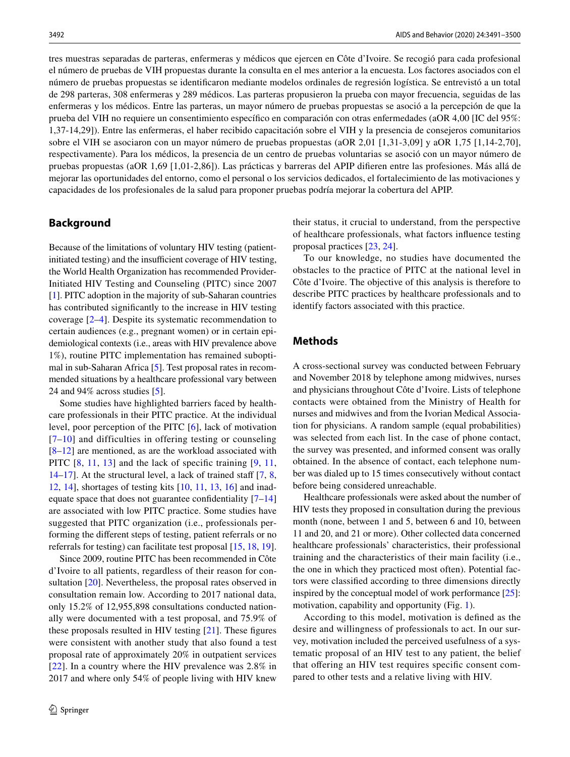tres muestras separadas de parteras, enfermeras y médicos que ejercen en Côte d'Ivoire. Se recogió para cada profesional el número de pruebas de VIH propuestas durante la consulta en el mes anterior a la encuesta. Los factores asociados con el número de pruebas propuestas se identifcaron mediante modelos ordinales de regresión logística. Se entrevistó a un total de 298 parteras, 308 enfermeras y 289 médicos. Las parteras propusieron la prueba con mayor frecuencia, seguidas de las enfermeras y los médicos. Entre las parteras, un mayor número de pruebas propuestas se asoció a la percepción de que la prueba del VIH no requiere un consentimiento específco en comparación con otras enfermedades (aOR 4,00 [IC del 95%: 1,37-14,29]). Entre las enfermeras, el haber recibido capacitación sobre el VIH y la presencia de consejeros comunitarios sobre el VIH se asociaron con un mayor número de pruebas propuestas (aOR 2,01 [1,31-3,09] y aOR 1,75 [1,14-2,70], respectivamente). Para los médicos, la presencia de un centro de pruebas voluntarias se asoció con un mayor número de pruebas propuestas (aOR 1,69 [1,01-2,86]). Las prácticas y barreras del APIP diferen entre las profesiones. Más allá de mejorar las oportunidades del entorno, como el personal o los servicios dedicados, el fortalecimiento de las motivaciones y capacidades de los profesionales de la salud para proponer pruebas podría mejorar la cobertura del APIP.

## **Background**

Because of the limitations of voluntary HIV testing (patientinitiated testing) and the insufficient coverage of HIV testing, the World Health Organization has recommended Provider-Initiated HIV Testing and Counseling (PITC) since 2007 [\[1](#page-8-0)]. PITC adoption in the majority of sub-Saharan countries has contributed signifcantly to the increase in HIV testing coverage [\[2–](#page-8-1)[4\]](#page-8-2). Despite its systematic recommendation to certain audiences (e.g., pregnant women) or in certain epidemiological contexts (i.e., areas with HIV prevalence above 1%), routine PITC implementation has remained suboptimal in sub-Saharan Africa [\[5](#page-8-3)]. Test proposal rates in recommended situations by a healthcare professional vary between 24 and 94% across studies [\[5](#page-8-3)].

Some studies have highlighted barriers faced by healthcare professionals in their PITC practice. At the individual level, poor perception of the PITC [[6\]](#page-8-4), lack of motivation [[7–](#page-8-5)[10](#page-8-6)] and difficulties in offering testing or counseling  $[8-12]$  $[8-12]$  $[8-12]$  are mentioned, as are the workload associated with PITC  $[8, 11, 13]$  $[8, 11, 13]$  $[8, 11, 13]$  $[8, 11, 13]$  $[8, 11, 13]$  $[8, 11, 13]$  and the lack of specific training  $[9, 11, 13]$  $[9, 11, 13]$ [14](#page-8-12)[–17](#page-9-0)]. At the structural level, a lack of trained staff  $[7, 8, 1]$  $[7, 8, 1]$  $[7, 8, 1]$  $[7, 8, 1]$ [12](#page-8-8), [14\]](#page-8-12), shortages of testing kits [\[10](#page-8-6), [11,](#page-8-9) [13](#page-8-10), [16\]](#page-9-1) and inadequate space that does not guarantee confidentiality  $[7-14]$  $[7-14]$ are associated with low PITC practice. Some studies have suggested that PITC organization (i.e., professionals performing the diferent steps of testing, patient referrals or no referrals for testing) can facilitate test proposal [\[15](#page-9-2), [18](#page-9-3), [19](#page-9-4)].

Since 2009, routine PITC has been recommended in Côte d'Ivoire to all patients, regardless of their reason for consultation [[20](#page-9-5)]. Nevertheless, the proposal rates observed in consultation remain low. According to 2017 national data, only 15.2% of 12,955,898 consultations conducted nationally were documented with a test proposal, and 75.9% of these proposals resulted in HIV testing  $[21]$  $[21]$ . These figures were consistent with another study that also found a test proposal rate of approximately 20% in outpatient services [\[22\]](#page-9-7). In a country where the HIV prevalence was 2.8% in 2017 and where only 54% of people living with HIV knew

their status, it crucial to understand, from the perspective of healthcare professionals, what factors infuence testing proposal practices [\[23](#page-9-8), [24](#page-9-9)].

To our knowledge, no studies have documented the obstacles to the practice of PITC at the national level in Côte d'Ivoire. The objective of this analysis is therefore to describe PITC practices by healthcare professionals and to identify factors associated with this practice.

## **Methods**

A cross-sectional survey was conducted between February and November 2018 by telephone among midwives, nurses and physicians throughout Côte d'Ivoire. Lists of telephone contacts were obtained from the Ministry of Health for nurses and midwives and from the Ivorian Medical Association for physicians. A random sample (equal probabilities) was selected from each list. In the case of phone contact, the survey was presented, and informed consent was orally obtained. In the absence of contact, each telephone number was dialed up to 15 times consecutively without contact before being considered unreachable.

Healthcare professionals were asked about the number of HIV tests they proposed in consultation during the previous month (none, between 1 and 5, between 6 and 10, between 11 and 20, and 21 or more). Other collected data concerned healthcare professionals' characteristics, their professional training and the characteristics of their main facility (i.e., the one in which they practiced most often). Potential factors were classifed according to three dimensions directly inspired by the conceptual model of work performance [\[25](#page-9-10)]: motivation, capability and opportunity (Fig. [1\)](#page-2-0).

According to this model, motivation is defned as the desire and willingness of professionals to act. In our survey, motivation included the perceived usefulness of a systematic proposal of an HIV test to any patient, the belief that offering an HIV test requires specific consent compared to other tests and a relative living with HIV.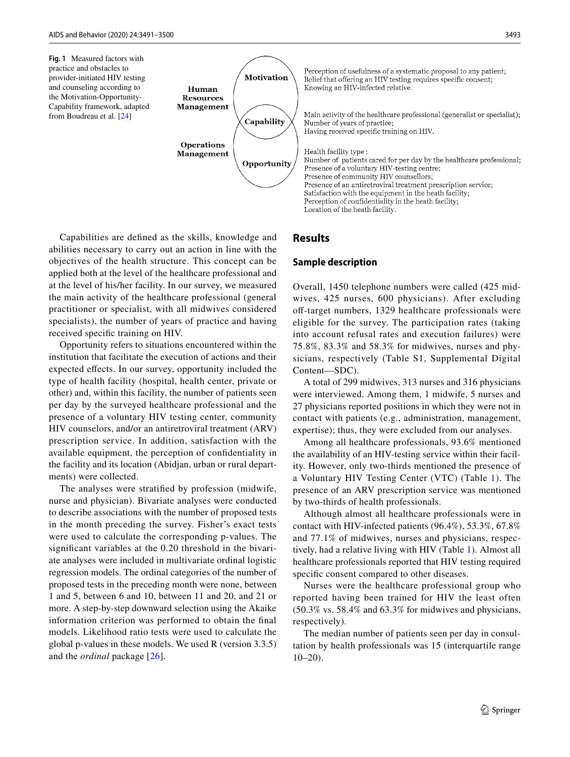<span id="page-2-0"></span>**Fig. 1** Measured factors with practice and obstacles to provider-initiated HIV testing and counseling according to the Motivation-Opportunity-Capability framework, adapted from Boudreau et al. [\[24\]](#page-9-9)



Capabilities are defned as the skills, knowledge and abilities necessary to carry out an action in line with the objectives of the health structure. This concept can be applied both at the level of the healthcare professional and at the level of his/her facility. In our survey, we measured the main activity of the healthcare professional (general practitioner or specialist, with all midwives considered specialists), the number of years of practice and having received specifc training on HIV.

Opportunity refers to situations encountered within the institution that facilitate the execution of actions and their expected efects. In our survey, opportunity included the type of health facility (hospital, health center, private or other) and, within this facility, the number of patients seen per day by the surveyed healthcare professional and the presence of a voluntary HIV testing center, community HIV counselors, and/or an antiretroviral treatment (ARV) prescription service. In addition, satisfaction with the available equipment, the perception of confdentiality in the facility and its location (Abidjan, urban or rural departments) were collected.

The analyses were stratifed by profession (midwife, nurse and physician). Bivariate analyses were conducted to describe associations with the number of proposed tests in the month preceding the survey. Fisher's exact tests were used to calculate the corresponding p-values. The signifcant variables at the 0.20 threshold in the bivariate analyses were included in multivariate ordinal logistic regression models. The ordinal categories of the number of proposed tests in the preceding month were none, between 1 and 5, between 6 and 10, between 11 and 20, and 21 or more. A step-by-step downward selection using the Akaike information criterion was performed to obtain the fnal models. Likelihood ratio tests were used to calculate the global p-values in these models. We used R (version 3.3.5) and the *ordinal* package [[26](#page-9-11)].

Perception of usefulness of a systematic proposal to any patient; Belief that offering an HIV testing requires specific consent; Knowing an HIV-infected relative. Main activity of the healthcare professional (generalist or specialist); Number of years of practice: Having received specific training on HIV. Health facility type; Number of patients cared for per day by the healthcare professional; Presence of a voluntary HIV-testing centre; Presence of community HIV counsellors; Presence of an antiretroviral treatment prescription service: Satisfaction with the equipment in the heath facility; Perception of confidentiality in the heath facility;

**Results**

### **Sample description**

Location of the heath facility.

Overall, 1450 telephone numbers were called (425 midwives, 425 nurses, 600 physicians). After excluding off-target numbers, 1329 healthcare professionals were eligible for the survey. The participation rates (taking into account refusal rates and execution failures) were 75.8%, 83.3% and 58.3% for midwives, nurses and physicians, respectively (Table S1, Supplemental Digital Content—SDC).

A total of 299 midwives, 313 nurses and 316 physicians were interviewed. Among them, 1 midwife, 5 nurses and 27 physicians reported positions in which they were not in contact with patients (e.g., administration, management, expertise); thus, they were excluded from our analyses.

Among all healthcare professionals, 93.6% mentioned the availability of an HIV-testing service within their facility. However, only two-thirds mentioned the presence of a Voluntary HIV Testing Center (VTC) (Table [1](#page-3-0)). The presence of an ARV prescription service was mentioned by two-thirds of health professionals.

Although almost all healthcare professionals were in contact with HIV-infected patients (96.4%), 53.3%, 67.8% and 77.1% of midwives, nurses and physicians, respectively, had a relative living with HIV (Table [1\)](#page-3-0). Almost all healthcare professionals reported that HIV testing required specifc consent compared to other diseases.

Nurses were the healthcare professional group who reported having been trained for HIV the least often (50.3% vs. 58.4% and 63.3% for midwives and physicians, respectively).

The median number of patients seen per day in consultation by health professionals was 15 (interquartile range  $10-20$ ).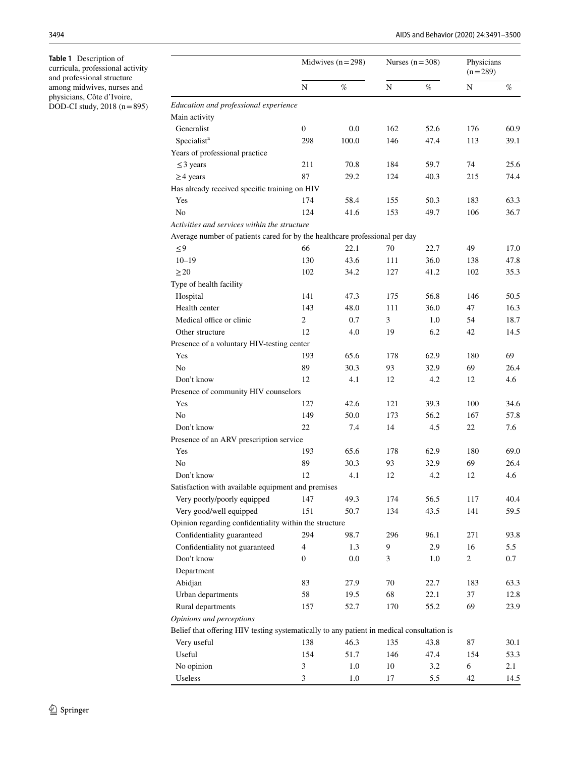<span id="page-3-0"></span>**Table 1** Description of curricula, professional activity and professional structure among midwives, nurses and physicians, Côte d'Ivoire, DOD-CI study,  $2018$  (n=895)

|                                                                                           | Midwives $(n=298)$ |         | Nurses $(n=308)$ |      | Physicians<br>$(n=289)$ |      |
|-------------------------------------------------------------------------------------------|--------------------|---------|------------------|------|-------------------------|------|
|                                                                                           | N                  | %       | N                | %    | N                       | %    |
| Education and professional experience                                                     |                    |         |                  |      |                         |      |
| Main activity                                                                             |                    |         |                  |      |                         |      |
| Generalist                                                                                | $\mathbf{0}$       | 0.0     | 162              | 52.6 | 176                     | 60.9 |
| Specialist <sup>a</sup>                                                                   | 298                | 100.0   | 146              | 47.4 | 113                     | 39.1 |
| Years of professional practice                                                            |                    |         |                  |      |                         |      |
| $\leq$ 3 years                                                                            | 211                | 70.8    | 184              | 59.7 | 74                      | 25.6 |
| $\geq$ 4 years                                                                            | 87                 | 29.2    | 124              | 40.3 | 215                     | 74.4 |
| Has already received specific training on HIV                                             |                    |         |                  |      |                         |      |
| Yes                                                                                       | 174                | 58.4    | 155              | 50.3 | 183                     | 63.3 |
| N <sub>0</sub>                                                                            | 124                | 41.6    | 153              | 49.7 | 106                     | 36.7 |
| Activities and services within the structure                                              |                    |         |                  |      |                         |      |
| Average number of patients cared for by the healthcare professional per day               |                    |         |                  |      |                         |      |
| $\leq 9$                                                                                  | 66                 | 22.1    | 70               | 22.7 | 49                      | 17.0 |
| $10 - 19$                                                                                 | 130                | 43.6    | 111              | 36.0 | 138                     | 47.8 |
| $\geq$ 20                                                                                 | 102                | 34.2    | 127              | 41.2 | 102                     | 35.3 |
| Type of health facility                                                                   |                    |         |                  |      |                         |      |
| Hospital                                                                                  | 141                | 47.3    | 175              | 56.8 | 146                     | 50.5 |
| Health center                                                                             | 143                | 48.0    | 111              | 36.0 | 47                      | 16.3 |
| Medical office or clinic                                                                  | 2                  | 0.7     | 3                | 1.0  | 54                      | 18.7 |
| Other structure                                                                           | 12                 | 4.0     | 19               | 6.2  | 42                      | 14.5 |
| Presence of a voluntary HIV-testing center                                                |                    |         |                  |      |                         |      |
| Yes                                                                                       | 193                | 65.6    | 178              | 62.9 | 180                     | 69   |
| N <sub>0</sub>                                                                            | 89                 | 30.3    | 93               | 32.9 | 69                      | 26.4 |
| Don't know                                                                                | 12                 | 4.1     | 12               | 4.2  | 12                      | 4.6  |
| Presence of community HIV counselors                                                      |                    |         |                  |      |                         |      |
| Yes                                                                                       | 127                | 42.6    | 121              | 39.3 | 100                     | 34.6 |
| N <sub>0</sub>                                                                            | 149                | 50.0    | 173              | 56.2 | 167                     | 57.8 |
| Don't know                                                                                | 22                 | 7.4     | 14               | 4.5  | 22                      | 7.6  |
| Presence of an ARV prescription service                                                   |                    |         |                  |      |                         |      |
| Yes                                                                                       | 193                | 65.6    | 178              | 62.9 | 180                     | 69.0 |
| No                                                                                        | 89                 | 30.3    | 93               | 32.9 | 69                      | 26.4 |
| Don't know                                                                                | 12                 | 4.1     | 12               | 4.2  | 12                      | 4.6  |
| Satisfaction with available equipment and premises                                        |                    |         |                  |      |                         |      |
| Very poorly/poorly equipped                                                               | 147                | 49.3    | 174              | 56.5 | 117                     | 40.4 |
| Very good/well equipped                                                                   | 151                | 50.7    | 134              | 43.5 | 141                     | 59.5 |
| Opinion regarding confidentiality within the structure                                    |                    |         |                  |      |                         |      |
| Confidentiality guaranteed                                                                | 294                | 98.7    | 296              | 96.1 | 271                     | 93.8 |
| Confidentiality not guaranteed                                                            | 4                  | 1.3     | 9                | 2.9  | 16                      | 5.5  |
| Don't know                                                                                | $\boldsymbol{0}$   | $0.0\,$ | 3                | 1.0  | 2                       | 0.7  |
| Department                                                                                |                    |         |                  |      |                         |      |
| Abidjan                                                                                   | 83                 | 27.9    | 70               | 22.7 | 183                     | 63.3 |
| Urban departments                                                                         | 58                 | 19.5    | 68               | 22.1 | 37                      | 12.8 |
| Rural departments                                                                         | 157                | 52.7    | 170              | 55.2 | 69                      | 23.9 |
| Opinions and perceptions                                                                  |                    |         |                  |      |                         |      |
| Belief that offering HIV testing systematically to any patient in medical consultation is |                    |         |                  |      |                         |      |
|                                                                                           | 138                | 46.3    | 135              | 43.8 | 87                      | 30.1 |
| Very useful<br>Useful                                                                     |                    |         |                  |      |                         |      |
|                                                                                           | 154                | 51.7    | 146              | 47.4 | 154                     | 53.3 |
| No opinion                                                                                | 3                  | 1.0     | 10               | 3.2  | 6                       | 2.1  |
| Useless                                                                                   | 3                  | 1.0     | 17               | 5.5  | 42                      | 14.5 |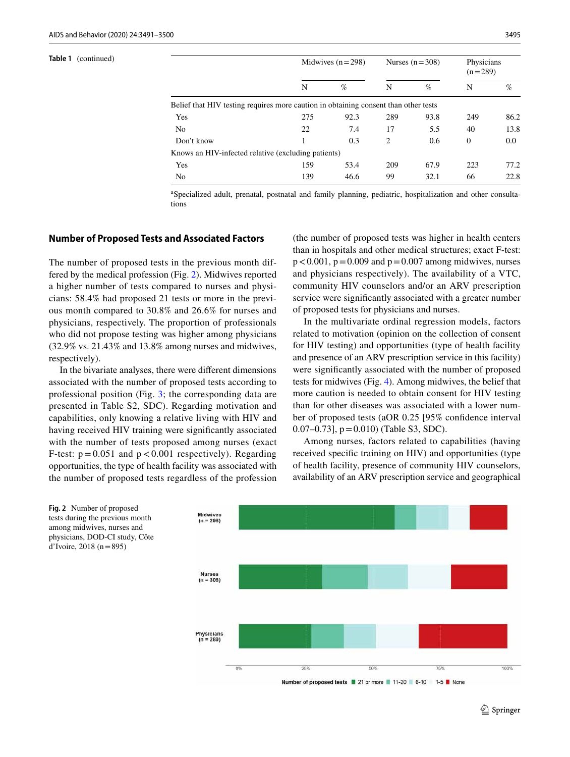| Table 1<br>(continued) |                                                                                     |     | Midwives $(n=298)$ |                | Nurses $(n=308)$ |              | Physicians<br>$(n=289)$ |  |
|------------------------|-------------------------------------------------------------------------------------|-----|--------------------|----------------|------------------|--------------|-------------------------|--|
|                        |                                                                                     | N   | %                  | N              | %                | N            | %                       |  |
|                        | Belief that HIV testing requires more caution in obtaining consent than other tests |     |                    |                |                  |              |                         |  |
|                        | Yes                                                                                 | 275 | 92.3               | 289            | 93.8             | 249          | 86.2                    |  |
|                        | N <sub>0</sub>                                                                      | 22  | 7.4                | 17             | 5.5              | 40           | 13.8                    |  |
|                        | Don't know                                                                          |     | 0.3                | $\mathfrak{2}$ | 0.6              | $\mathbf{0}$ | 0.0                     |  |
|                        | Knows an HIV-infected relative (excluding patients)                                 |     |                    |                |                  |              |                         |  |
|                        | Yes                                                                                 | 159 | 53.4               | 209            | 67.9             | 223          | 77.2                    |  |
|                        | No                                                                                  | 139 | 46.6               | 99             | 32.1             | 66           | 22.8                    |  |
|                        |                                                                                     |     |                    |                |                  |              |                         |  |

a Specialized adult, prenatal, postnatal and family planning, pediatric, hospitalization and other consultations

### **Number of Proposed Tests and Associated Factors**

The number of proposed tests in the previous month differed by the medical profession (Fig. [2\)](#page-4-0). Midwives reported a higher number of tests compared to nurses and physicians: 58.4% had proposed 21 tests or more in the previous month compared to 30.8% and 26.6% for nurses and physicians, respectively. The proportion of professionals who did not propose testing was higher among physicians (32.9% vs. 21.43% and 13.8% among nurses and midwives, respectively).

In the bivariate analyses, there were diferent dimensions associated with the number of proposed tests according to professional position (Fig. [3](#page-5-0); the corresponding data are presented in Table S2, SDC). Regarding motivation and capabilities, only knowing a relative living with HIV and having received HIV training were signifcantly associated with the number of tests proposed among nurses (exact F-test:  $p = 0.051$  and  $p < 0.001$  respectively). Regarding opportunities, the type of health facility was associated with the number of proposed tests regardless of the profession (the number of proposed tests was higher in health centers than in hospitals and other medical structures; exact F-test:  $p < 0.001$ ,  $p = 0.009$  and  $p = 0.007$  among midwives, nurses and physicians respectively). The availability of a VTC, community HIV counselors and/or an ARV prescription service were signifcantly associated with a greater number of proposed tests for physicians and nurses.

In the multivariate ordinal regression models, factors related to motivation (opinion on the collection of consent for HIV testing) and opportunities (type of health facility and presence of an ARV prescription service in this facility) were signifcantly associated with the number of proposed tests for midwives (Fig. [4](#page-6-0)). Among midwives, the belief that more caution is needed to obtain consent for HIV testing than for other diseases was associated with a lower number of proposed tests (aOR 0.25 [95% confdence interval 0.07–0.73],  $p = 0.010$  (Table S3, SDC).

Among nurses, factors related to capabilities (having received specifc training on HIV) and opportunities (type of health facility, presence of community HIV counselors, availability of an ARV prescription service and geographical





<span id="page-4-0"></span>**Fig. 2** Number of proposed

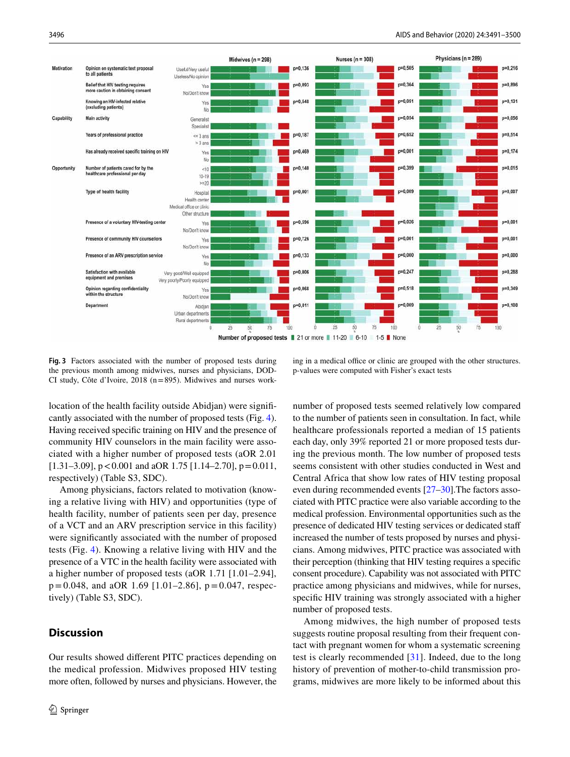

<span id="page-5-0"></span>**Fig. 3** Factors associated with the number of proposed tests during the previous month among midwives, nurses and physicians, DOD-CI study, Côte d'Ivoire, 2018 (n=895). Midwives and nurses work-

ing in a medical office or clinic are grouped with the other structures. p-values were computed with Fisher's exact tests

location of the health facility outside Abidjan) were signifcantly associated with the number of proposed tests (Fig. [4](#page-6-0)). Having received specifc training on HIV and the presence of community HIV counselors in the main facility were associated with a higher number of proposed tests (aOR 2.01 [1.31–3.09],  $p < 0.001$  and aOR 1.75 [1.14–2.70],  $p = 0.011$ , respectively) (Table S3, SDC).

Among physicians, factors related to motivation (knowing a relative living with HIV) and opportunities (type of health facility, number of patients seen per day, presence of a VCT and an ARV prescription service in this facility) were signifcantly associated with the number of proposed tests (Fig. [4\)](#page-6-0). Knowing a relative living with HIV and the presence of a VTC in the health facility were associated with a higher number of proposed tests (aOR 1.71 [1.01–2.94],  $p=0.048$ , and aOR 1.69 [1.01–2.86],  $p=0.047$ , respectively) (Table S3, SDC).

## **Discussion**

Our results showed diferent PITC practices depending on the medical profession. Midwives proposed HIV testing more often, followed by nurses and physicians. However, the number of proposed tests seemed relatively low compared to the number of patients seen in consultation. In fact, while healthcare professionals reported a median of 15 patients each day, only 39% reported 21 or more proposed tests during the previous month. The low number of proposed tests seems consistent with other studies conducted in West and Central Africa that show low rates of HIV testing proposal even during recommended events [[27–](#page-9-12)[30\]](#page-9-13).The factors associated with PITC practice were also variable according to the medical profession. Environmental opportunities such as the presence of dedicated HIV testing services or dedicated staf increased the number of tests proposed by nurses and physicians. Among midwives, PITC practice was associated with their perception (thinking that HIV testing requires a specifc consent procedure). Capability was not associated with PITC practice among physicians and midwives, while for nurses, specifc HIV training was strongly associated with a higher number of proposed tests.

Among midwives, the high number of proposed tests suggests routine proposal resulting from their frequent contact with pregnant women for whom a systematic screening test is clearly recommended [[31](#page-9-14)]. Indeed, due to the long history of prevention of mother-to-child transmission programs, midwives are more likely to be informed about this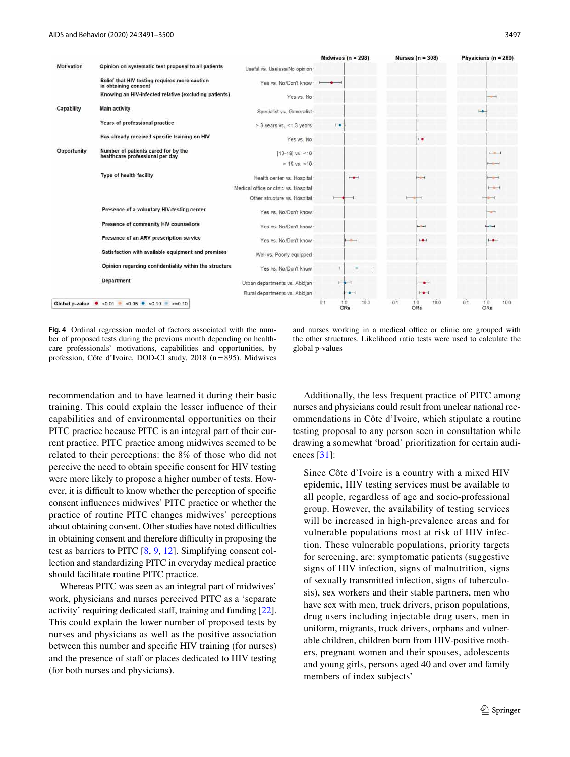

<span id="page-6-0"></span>**Fig. 4** Ordinal regression model of factors associated with the number of proposed tests during the previous month depending on healthcare professionals' motivations, capabilities and opportunities, by profession, Côte d'Ivoire, DOD-CI study, 2018 (n=895). Midwives

and nurses working in a medical office or clinic are grouped with the other structures. Likelihood ratio tests were used to calculate the global p-values

recommendation and to have learned it during their basic training. This could explain the lesser infuence of their capabilities and of environmental opportunities on their PITC practice because PITC is an integral part of their current practice. PITC practice among midwives seemed to be related to their perceptions: the 8% of those who did not perceive the need to obtain specifc consent for HIV testing were more likely to propose a higher number of tests. However, it is difficult to know whether the perception of specific consent infuences midwives' PITC practice or whether the practice of routine PITC changes midwives' perceptions about obtaining consent. Other studies have noted difficulties in obtaining consent and therefore difficulty in proposing the test as barriers to PITC [\[8,](#page-8-7) [9,](#page-8-11) [12\]](#page-8-8). Simplifying consent collection and standardizing PITC in everyday medical practice should facilitate routine PITC practice.

Whereas PITC was seen as an integral part of midwives' work, physicians and nurses perceived PITC as a 'separate activity' requiring dedicated staf, training and funding [\[22](#page-9-7)]. This could explain the lower number of proposed tests by nurses and physicians as well as the positive association between this number and specifc HIV training (for nurses) and the presence of staff or places dedicated to HIV testing (for both nurses and physicians).

Additionally, the less frequent practice of PITC among nurses and physicians could result from unclear national recommendations in Côte d'Ivoire, which stipulate a routine testing proposal to any person seen in consultation while drawing a somewhat 'broad' prioritization for certain audiences [\[31\]](#page-9-14):

Since Côte d'Ivoire is a country with a mixed HIV epidemic, HIV testing services must be available to all people, regardless of age and socio-professional group. However, the availability of testing services will be increased in high-prevalence areas and for vulnerable populations most at risk of HIV infection. These vulnerable populations, priority targets for screening, are: symptomatic patients (suggestive signs of HIV infection, signs of malnutrition, signs of sexually transmitted infection, signs of tuberculosis), sex workers and their stable partners, men who have sex with men, truck drivers, prison populations, drug users including injectable drug users, men in uniform, migrants, truck drivers, orphans and vulnerable children, children born from HIV-positive mothers, pregnant women and their spouses, adolescents and young girls, persons aged 40 and over and family members of index subjects'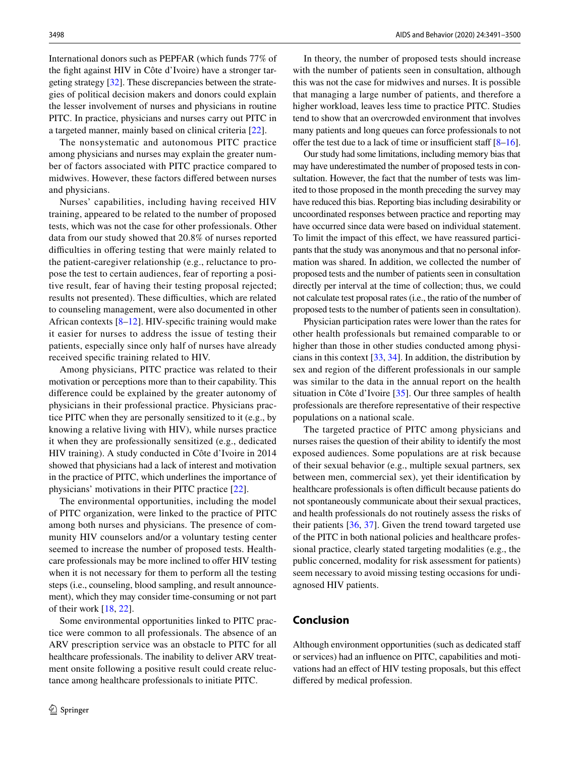International donors such as PEPFAR (which funds 77% of the fght against HIV in Côte d'Ivoire) have a stronger targeting strategy [[32\]](#page-9-15). These discrepancies between the strategies of political decision makers and donors could explain the lesser involvement of nurses and physicians in routine PITC. In practice, physicians and nurses carry out PITC in a targeted manner, mainly based on clinical criteria [\[22](#page-9-7)].

The nonsystematic and autonomous PITC practice among physicians and nurses may explain the greater number of factors associated with PITC practice compared to midwives. However, these factors difered between nurses and physicians.

Nurses' capabilities, including having received HIV training, appeared to be related to the number of proposed tests, which was not the case for other professionals. Other data from our study showed that 20.8% of nurses reported difficulties in offering testing that were mainly related to the patient-caregiver relationship (e.g., reluctance to propose the test to certain audiences, fear of reporting a positive result, fear of having their testing proposal rejected; results not presented). These difficulties, which are related to counseling management, were also documented in other African contexts [[8–](#page-8-7)[12\]](#page-8-8). HIV-specifc training would make it easier for nurses to address the issue of testing their patients, especially since only half of nurses have already received specifc training related to HIV.

Among physicians, PITC practice was related to their motivation or perceptions more than to their capability. This diference could be explained by the greater autonomy of physicians in their professional practice. Physicians practice PITC when they are personally sensitized to it (e.g., by knowing a relative living with HIV), while nurses practice it when they are professionally sensitized (e.g., dedicated HIV training). A study conducted in Côte d'Ivoire in 2014 showed that physicians had a lack of interest and motivation in the practice of PITC, which underlines the importance of physicians' motivations in their PITC practice [\[22](#page-9-7)].

The environmental opportunities, including the model of PITC organization, were linked to the practice of PITC among both nurses and physicians. The presence of community HIV counselors and/or a voluntary testing center seemed to increase the number of proposed tests. Healthcare professionals may be more inclined to offer HIV testing when it is not necessary for them to perform all the testing steps (i.e., counseling, blood sampling, and result announcement), which they may consider time-consuming or not part of their work [\[18](#page-9-3), [22](#page-9-7)].

Some environmental opportunities linked to PITC practice were common to all professionals. The absence of an ARV prescription service was an obstacle to PITC for all healthcare professionals. The inability to deliver ARV treatment onsite following a positive result could create reluctance among healthcare professionals to initiate PITC.

In theory, the number of proposed tests should increase with the number of patients seen in consultation, although this was not the case for midwives and nurses. It is possible that managing a large number of patients, and therefore a higher workload, leaves less time to practice PITC. Studies tend to show that an overcrowded environment that involves many patients and long queues can force professionals to not offer the test due to a lack of time or insufficient staff  $[8-16]$  $[8-16]$  $[8-16]$ .

Our study had some limitations, including memory bias that may have underestimated the number of proposed tests in consultation. However, the fact that the number of tests was limited to those proposed in the month preceding the survey may have reduced this bias. Reporting bias including desirability or uncoordinated responses between practice and reporting may have occurred since data were based on individual statement. To limit the impact of this efect, we have reassured participants that the study was anonymous and that no personal information was shared. In addition, we collected the number of proposed tests and the number of patients seen in consultation directly per interval at the time of collection; thus, we could not calculate test proposal rates (i.e., the ratio of the number of proposed tests to the number of patients seen in consultation).

Physician participation rates were lower than the rates for other health professionals but remained comparable to or higher than those in other studies conducted among physicians in this context [[33,](#page-9-16) [34](#page-9-17)]. In addition, the distribution by sex and region of the diferent professionals in our sample was similar to the data in the annual report on the health situation in Côte d'Ivoire [[35\]](#page-9-18). Our three samples of health professionals are therefore representative of their respective populations on a national scale.

The targeted practice of PITC among physicians and nurses raises the question of their ability to identify the most exposed audiences. Some populations are at risk because of their sexual behavior (e.g., multiple sexual partners, sex between men, commercial sex), yet their identifcation by healthcare professionals is often difficult because patients do not spontaneously communicate about their sexual practices, and health professionals do not routinely assess the risks of their patients [\[36](#page-9-19), [37\]](#page-9-20). Given the trend toward targeted use of the PITC in both national policies and healthcare professional practice, clearly stated targeting modalities (e.g., the public concerned, modality for risk assessment for patients) seem necessary to avoid missing testing occasions for undiagnosed HIV patients.

## **Conclusion**

Although environment opportunities (such as dedicated staf or services) had an infuence on PITC, capabilities and motivations had an efect of HIV testing proposals, but this efect difered by medical profession.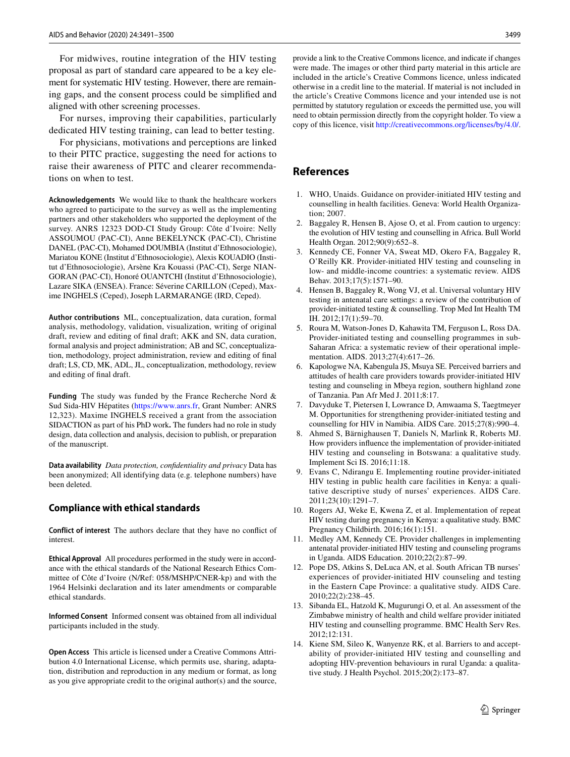For midwives, routine integration of the HIV testing proposal as part of standard care appeared to be a key element for systematic HIV testing. However, there are remaining gaps, and the consent process could be simplifed and aligned with other screening processes.

For nurses, improving their capabilities, particularly dedicated HIV testing training, can lead to better testing.

For physicians, motivations and perceptions are linked to their PITC practice, suggesting the need for actions to raise their awareness of PITC and clearer recommendations on when to test.

**Acknowledgements** We would like to thank the healthcare workers who agreed to participate to the survey as well as the implementing partners and other stakeholders who supported the deployment of the survey. ANRS 12323 DOD-CI Study Group: Côte d'Ivoire: Nelly ASSOUMOU (PAC-CI), Anne BEKELYNCK (PAC-CI), Christine DANEL (PAC-CI), Mohamed DOUMBIA (Institut d'Ethnosociologie), Mariatou KONE (Institut d'Ethnosociologie), Alexis KOUADIO (Institut d'Ethnosociologie), Arsène Kra Kouassi (PAC-CI), Serge NIAN-GORAN (PAC-CI), Honoré OUANTCHI (Institut d'Ethnosociologie), Lazare SIKA (ENSEA). France: Séverine CARILLON (Ceped), Maxime INGHELS (Ceped), Joseph LARMARANGE (IRD, Ceped).

**Author contributions** ML, conceptualization, data curation, formal analysis, methodology, validation, visualization, writing of original draft, review and editing of fnal draft; AKK and SN, data curation, formal analysis and project administration; AB and SC, conceptualization, methodology, project administration, review and editing of fnal draft; LS, CD, MK, ADL, JL, conceptualization, methodology, review and editing of fnal draft.

**Funding** The study was funded by the France Recherche Nord & Sud Sida-HIV Hépatites ([https://www.anrs.fr,](https://www.anrs.fr) Grant Number: ANRS 12,323). Maxime INGHELS received a grant from the association SIDACTION as part of his PhD work**.** The funders had no role in study design, data collection and analysis, decision to publish, or preparation of the manuscript.

**Data availability** *Data protection, confdentiality and privacy* Data has been anonymized; All identifying data (e.g. telephone numbers) have been deleted.

### **Compliance with ethical standards**

**Conflict of interest** The authors declare that they have no confict of interest.

**Ethical Approval** All procedures performed in the study were in accordance with the ethical standards of the National Research Ethics Committee of Côte d'Ivoire (N/Ref: 058/MSHP/CNER-kp) and with the 1964 Helsinki declaration and its later amendments or comparable ethical standards.

**Informed Consent** Informed consent was obtained from all individual participants included in the study.

**Open Access** This article is licensed under a Creative Commons Attribution 4.0 International License, which permits use, sharing, adaptation, distribution and reproduction in any medium or format, as long as you give appropriate credit to the original author(s) and the source,

provide a link to the Creative Commons licence, and indicate if changes were made. The images or other third party material in this article are included in the article's Creative Commons licence, unless indicated otherwise in a credit line to the material. If material is not included in the article's Creative Commons licence and your intended use is not permitted by statutory regulation or exceeds the permitted use, you will need to obtain permission directly from the copyright holder. To view a copy of this licence, visit<http://creativecommons.org/licenses/by/4.0/>.

## **References**

- <span id="page-8-0"></span>1. WHO, Unaids. Guidance on provider-initiated HIV testing and counselling in health facilities. Geneva: World Health Organization; 2007.
- <span id="page-8-1"></span>2. Baggaley R, Hensen B, Ajose O, et al. From caution to urgency: the evolution of HIV testing and counselling in Africa. Bull World Health Organ. 2012;90(9):652–8.
- 3. Kennedy CE, Fonner VA, Sweat MD, Okero FA, Baggaley R, O'Reilly KR. Provider-initiated HIV testing and counseling in low- and middle-income countries: a systematic review. AIDS Behav. 2013;17(5):1571–90.
- <span id="page-8-2"></span>4. Hensen B, Baggaley R, Wong VJ, et al. Universal voluntary HIV testing in antenatal care settings: a review of the contribution of provider-initiated testing & counselling. Trop Med Int Health TM IH. 2012;17(1):59–70.
- <span id="page-8-3"></span>5. Roura M, Watson-Jones D, Kahawita TM, Ferguson L, Ross DA. Provider-initiated testing and counselling programmes in sub-Saharan Africa: a systematic review of their operational implementation. AIDS. 2013;27(4):617–26.
- <span id="page-8-4"></span>6. Kapologwe NA, Kabengula JS, Msuya SE. Perceived barriers and attitudes of health care providers towards provider-initiated HIV testing and counseling in Mbeya region, southern highland zone of Tanzania. Pan Afr Med J. 2011;8:17.
- <span id="page-8-5"></span>7. Davyduke T, Pietersen I, Lowrance D, Amwaama S, Taegtmeyer M. Opportunities for strengthening provider-initiated testing and counselling for HIV in Namibia. AIDS Care. 2015;27(8):990–4.
- <span id="page-8-7"></span>8. Ahmed S, Bärnighausen T, Daniels N, Marlink R, Roberts MJ. How providers infuence the implementation of provider-initiated HIV testing and counseling in Botswana: a qualitative study. Implement Sci IS. 2016;11:18.
- <span id="page-8-11"></span>9. Evans C, Ndirangu E. Implementing routine provider-initiated HIV testing in public health care facilities in Kenya: a qualitative descriptive study of nurses' experiences. AIDS Care. 2011;23(10):1291–7.
- <span id="page-8-6"></span>10. Rogers AJ, Weke E, Kwena Z, et al. Implementation of repeat HIV testing during pregnancy in Kenya: a qualitative study. BMC Pregnancy Childbirth. 2016;16(1):151.
- <span id="page-8-9"></span>11. Medley AM, Kennedy CE. Provider challenges in implementing antenatal provider-initiated HIV testing and counseling programs in Uganda. AIDS Education. 2010;22(2):87–99.
- <span id="page-8-8"></span>12. Pope DS, Atkins S, DeLuca AN, et al. South African TB nurses' experiences of provider-initiated HIV counseling and testing in the Eastern Cape Province: a qualitative study. AIDS Care. 2010;22(2):238–45.
- <span id="page-8-10"></span>13. Sibanda EL, Hatzold K, Mugurungi O, et al. An assessment of the Zimbabwe ministry of health and child welfare provider initiated HIV testing and counselling programme. BMC Health Serv Res. 2012;12:131.
- <span id="page-8-12"></span>14. Kiene SM, Sileo K, Wanyenze RK, et al. Barriers to and acceptability of provider-initiated HIV testing and counselling and adopting HIV-prevention behaviours in rural Uganda: a qualitative study. J Health Psychol. 2015;20(2):173–87.